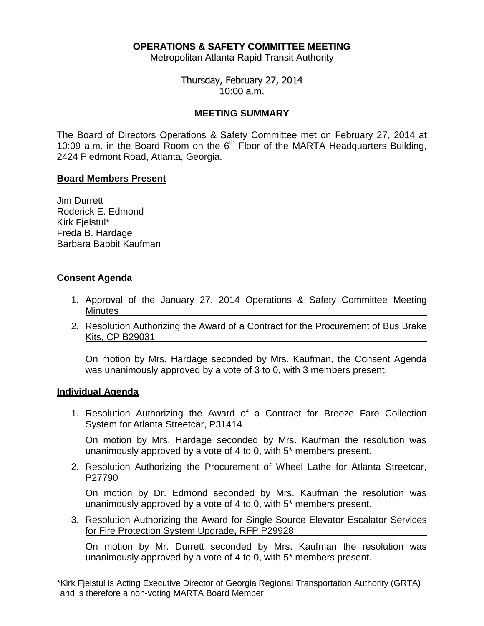# **OPERATIONS & SAFETY COMMITTEE MEETING**

Metropolitan Atlanta Rapid Transit Authority

Thursday, February 27, 2014 10:00 a.m.

## **MEETING SUMMARY**

The Board of Directors Operations & Safety Committee met on February 27, 2014 at 10:09 a.m. in the Board Room on the  $6<sup>th</sup>$  Floor of the MARTA Headquarters Building, 2424 Piedmont Road, Atlanta, Georgia.

## **Board Members Present**

Jim Durrett Roderick E. Edmond Kirk Fjelstul\* Freda B. Hardage Barbara Babbit Kaufman

## **Consent Agenda**

- 1. Approval of the January 27, 2014 Operations & Safety Committee Meeting **Minutes**
- 2. Resolution Authorizing the Award of a Contract for the Procurement of Bus Brake Kits, CP B29031

On motion by Mrs. Hardage seconded by Mrs. Kaufman, the Consent Agenda was unanimously approved by a vote of 3 to 0, with 3 members present.

## **Individual Agenda**

1. Resolution Authorizing the Award of a Contract for Breeze Fare Collection System for Atlanta Streetcar, P31414

On motion by Mrs. Hardage seconded by Mrs. Kaufman the resolution was unanimously approved by a vote of 4 to 0, with 5\* members present.

2. Resolution Authorizing the Procurement of Wheel Lathe for Atlanta Streetcar, P27790

On motion by Dr. Edmond seconded by Mrs. Kaufman the resolution was unanimously approved by a vote of 4 to 0, with 5\* members present.

3. Resolution Authorizing the Award for Single Source Elevator Escalator Services for Fire Protection System Upgrade**,** RFP P29928

On motion by Mr. Durrett seconded by Mrs. Kaufman the resolution was unanimously approved by a vote of 4 to 0, with 5\* members present.